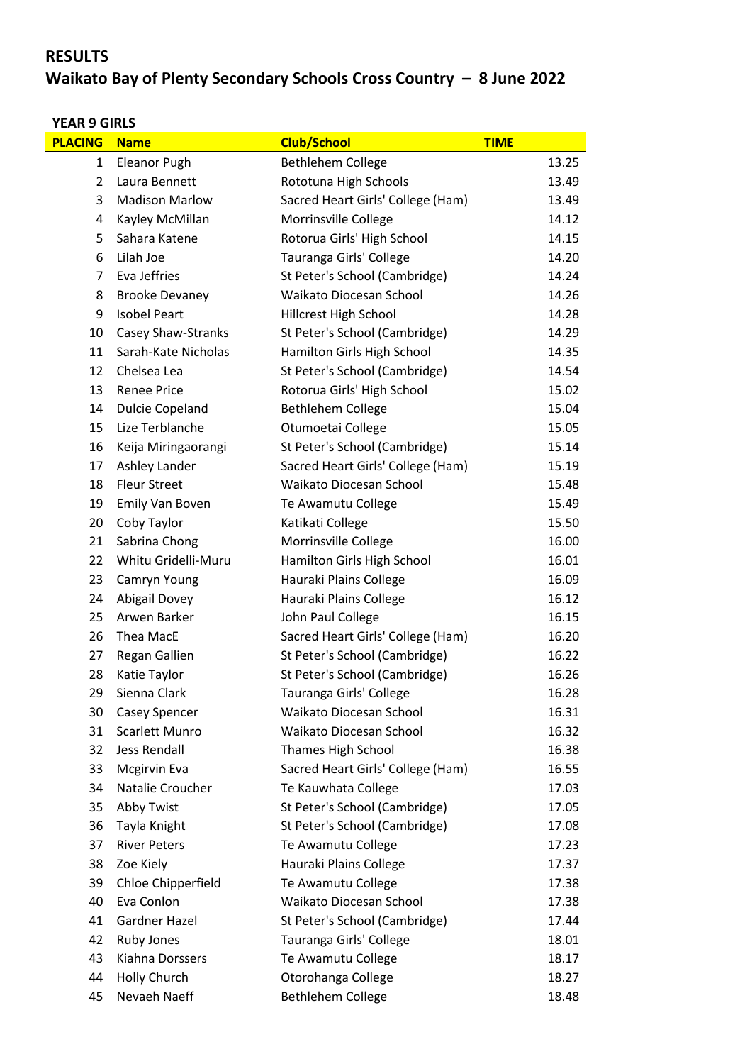# **RESULTS**

# **Waikato Bay of Plenty Secondary Schools Cross Country – 8 June 2022**

## **YEAR 9 GIRLS**

| <b>PLACING</b> | <b>Name</b>            | <b>Club/School</b>                | <b>TIME</b> |
|----------------|------------------------|-----------------------------------|-------------|
| $\mathbf{1}$   | <b>Eleanor Pugh</b>    | <b>Bethlehem College</b>          | 13.25       |
| $\overline{2}$ | Laura Bennett          | Rototuna High Schools             | 13.49       |
| 3              | <b>Madison Marlow</b>  | Sacred Heart Girls' College (Ham) | 13.49       |
| 4              | Kayley McMillan        | Morrinsville College              | 14.12       |
| 5              | Sahara Katene          | Rotorua Girls' High School        | 14.15       |
| 6              | Lilah Joe              | Tauranga Girls' College           | 14.20       |
| 7              | Eva Jeffries           | St Peter's School (Cambridge)     | 14.24       |
| 8              | <b>Brooke Devaney</b>  | Waikato Diocesan School           | 14.26       |
| 9              | <b>Isobel Peart</b>    | Hillcrest High School             | 14.28       |
| 10             | Casey Shaw-Stranks     | St Peter's School (Cambridge)     | 14.29       |
| 11             | Sarah-Kate Nicholas    | Hamilton Girls High School        | 14.35       |
| 12             | Chelsea Lea            | St Peter's School (Cambridge)     | 14.54       |
| 13             | <b>Renee Price</b>     | Rotorua Girls' High School        | 15.02       |
| 14             | <b>Dulcie Copeland</b> | Bethlehem College                 | 15.04       |
| 15             | Lize Terblanche        | Otumoetai College                 | 15.05       |
| 16             | Keija Miringaorangi    | St Peter's School (Cambridge)     | 15.14       |
| 17             | Ashley Lander          | Sacred Heart Girls' College (Ham) | 15.19       |
| 18             | <b>Fleur Street</b>    | Waikato Diocesan School           | 15.48       |
| 19             | Emily Van Boven        | Te Awamutu College                | 15.49       |
| 20             | Coby Taylor            | Katikati College                  | 15.50       |
| 21             | Sabrina Chong          | Morrinsville College              | 16.00       |
| 22             | Whitu Gridelli-Muru    | Hamilton Girls High School        | 16.01       |
| 23             | Camryn Young           | Hauraki Plains College            | 16.09       |
| 24             | <b>Abigail Dovey</b>   | Hauraki Plains College            | 16.12       |
| 25             | Arwen Barker           | John Paul College                 | 16.15       |
| 26             | Thea MacE              | Sacred Heart Girls' College (Ham) | 16.20       |
| 27             | Regan Gallien          | St Peter's School (Cambridge)     | 16.22       |
| 28             | Katie Taylor           | St Peter's School (Cambridge)     | 16.26       |
| 29             | Sienna Clark           | Tauranga Girls' College           | 16.28       |
| 30             | <b>Casey Spencer</b>   | Waikato Diocesan School           | 16.31       |
| 31             | Scarlett Munro         | Waikato Diocesan School           | 16.32       |
| 32             | <b>Jess Rendall</b>    | Thames High School                | 16.38       |
| 33             | <b>Mcgirvin Eva</b>    | Sacred Heart Girls' College (Ham) | 16.55       |
| 34             | Natalie Croucher       | Te Kauwhata College               | 17.03       |
| 35             | Abby Twist             | St Peter's School (Cambridge)     | 17.05       |
| 36             | Tayla Knight           | St Peter's School (Cambridge)     | 17.08       |
| 37             | <b>River Peters</b>    | Te Awamutu College                | 17.23       |
| 38             | Zoe Kiely              | Hauraki Plains College            | 17.37       |
| 39             | Chloe Chipperfield     | Te Awamutu College                | 17.38       |
| 40             | Eva Conlon             | Waikato Diocesan School           | 17.38       |
| 41             | <b>Gardner Hazel</b>   | St Peter's School (Cambridge)     | 17.44       |
| 42             | Ruby Jones             | Tauranga Girls' College           | 18.01       |
| 43             | Kiahna Dorssers        | Te Awamutu College                | 18.17       |
| 44             | Holly Church           | Otorohanga College                | 18.27       |
| 45             | Nevaeh Naeff           | <b>Bethlehem College</b>          | 18.48       |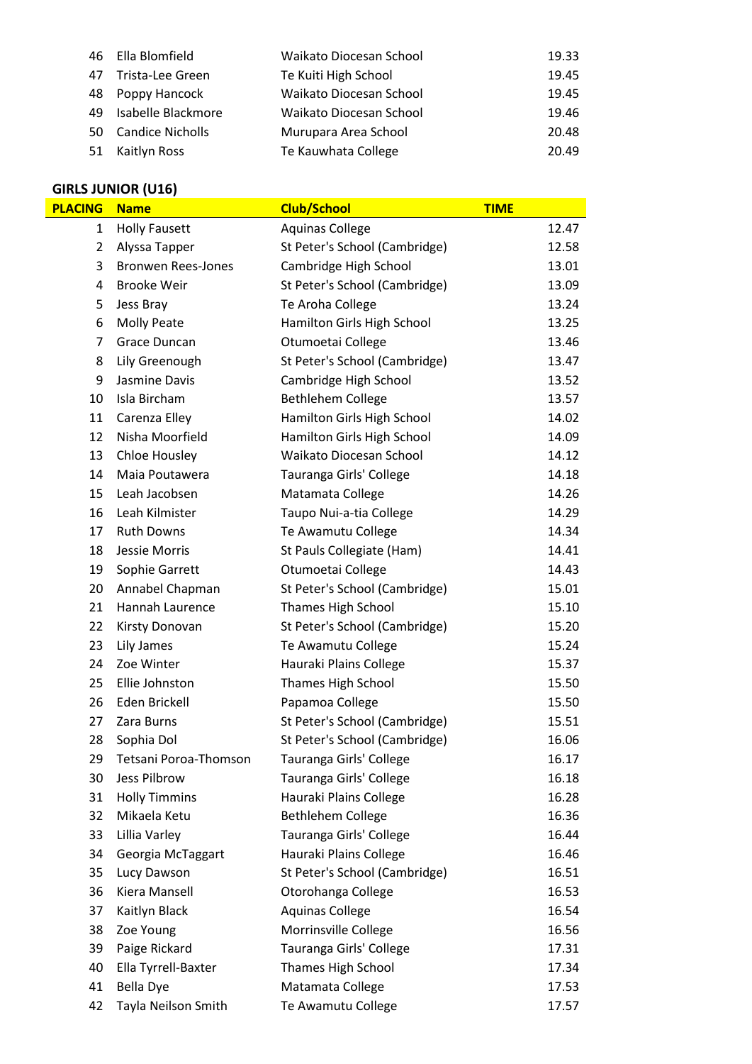|     | 46 Ella Blomfield   | Waikato Diocesan School | 19.33 |
|-----|---------------------|-------------------------|-------|
| 47  | Trista-Lee Green    | Te Kuiti High School    | 19.45 |
|     | 48 Poppy Hancock    | Waikato Diocesan School | 19.45 |
| 49. | Isabelle Blackmore  | Waikato Diocesan School | 19.46 |
|     | 50 Candice Nicholls | Murupara Area School    | 20.48 |
|     | 51 Kaitlyn Ross     | Te Kauwhata College     | 20.49 |

| <b>GIRLS JUNIOR (U16)</b> |                           |                               |             |  |
|---------------------------|---------------------------|-------------------------------|-------------|--|
| <b>PLACING</b>            | <b>Name</b>               | <b>Club/School</b>            | <b>TIME</b> |  |
| $\mathbf{1}$              | <b>Holly Fausett</b>      | <b>Aquinas College</b>        | 12.47       |  |
| $\overline{2}$            | Alyssa Tapper             | St Peter's School (Cambridge) | 12.58       |  |
| 3                         | <b>Bronwen Rees-Jones</b> | Cambridge High School         | 13.01       |  |
| 4                         | <b>Brooke Weir</b>        | St Peter's School (Cambridge) | 13.09       |  |
| 5                         | Jess Bray                 | Te Aroha College              | 13.24       |  |
| 6                         | <b>Molly Peate</b>        | Hamilton Girls High School    | 13.25       |  |
| $\overline{7}$            | Grace Duncan              | Otumoetai College             | 13.46       |  |
| 8                         | Lily Greenough            | St Peter's School (Cambridge) | 13.47       |  |
| 9                         | Jasmine Davis             | Cambridge High School         | 13.52       |  |
| 10                        | Isla Bircham              | Bethlehem College             | 13.57       |  |
| 11                        | Carenza Elley             | Hamilton Girls High School    | 14.02       |  |
| 12                        | Nisha Moorfield           | Hamilton Girls High School    | 14.09       |  |
| 13                        | Chloe Housley             | Waikato Diocesan School       | 14.12       |  |
| 14                        | Maia Poutawera            | Tauranga Girls' College       | 14.18       |  |
| 15                        | Leah Jacobsen             | Matamata College              | 14.26       |  |
| 16                        | Leah Kilmister            | Taupo Nui-a-tia College       | 14.29       |  |
| 17                        | <b>Ruth Downs</b>         | Te Awamutu College            | 14.34       |  |
| 18                        | Jessie Morris             | St Pauls Collegiate (Ham)     | 14.41       |  |
| 19                        | Sophie Garrett            | Otumoetai College             | 14.43       |  |
| 20                        | Annabel Chapman           | St Peter's School (Cambridge) | 15.01       |  |
| 21                        | Hannah Laurence           | Thames High School            | 15.10       |  |
| 22                        | Kirsty Donovan            | St Peter's School (Cambridge) | 15.20       |  |
| 23                        | Lily James                | Te Awamutu College            | 15.24       |  |
| 24                        | Zoe Winter                | Hauraki Plains College        | 15.37       |  |
| 25                        | Ellie Johnston            | <b>Thames High School</b>     | 15.50       |  |
| 26                        | Eden Brickell             | Papamoa College               | 15.50       |  |
| 27                        | Zara Burns                | St Peter's School (Cambridge) | 15.51       |  |
| 28                        | Sophia Dol                | St Peter's School (Cambridge) | 16.06       |  |
| 29                        | Tetsani Poroa-Thomson     | Tauranga Girls' College       | 16.17       |  |
| 30                        | Jess Pilbrow              | Tauranga Girls' College       | 16.18       |  |
| 31                        | <b>Holly Timmins</b>      | Hauraki Plains College        | 16.28       |  |
| 32                        | Mikaela Ketu              | Bethlehem College             | 16.36       |  |
| 33                        | Lillia Varley             | Tauranga Girls' College       | 16.44       |  |
| 34                        | Georgia McTaggart         | Hauraki Plains College        | 16.46       |  |
| 35                        | Lucy Dawson               | St Peter's School (Cambridge) | 16.51       |  |
| 36                        | Kiera Mansell             | Otorohanga College            | 16.53       |  |
| 37                        | Kaitlyn Black             | <b>Aquinas College</b>        | 16.54       |  |
| 38                        | Zoe Young                 | Morrinsville College          | 16.56       |  |
| 39                        | Paige Rickard             | Tauranga Girls' College       | 17.31       |  |
| 40                        | Ella Tyrrell-Baxter       | Thames High School            | 17.34       |  |
| 41                        | <b>Bella Dye</b>          | Matamata College              | 17.53       |  |
| 42                        | Tayla Neilson Smith       | Te Awamutu College            | 17.57       |  |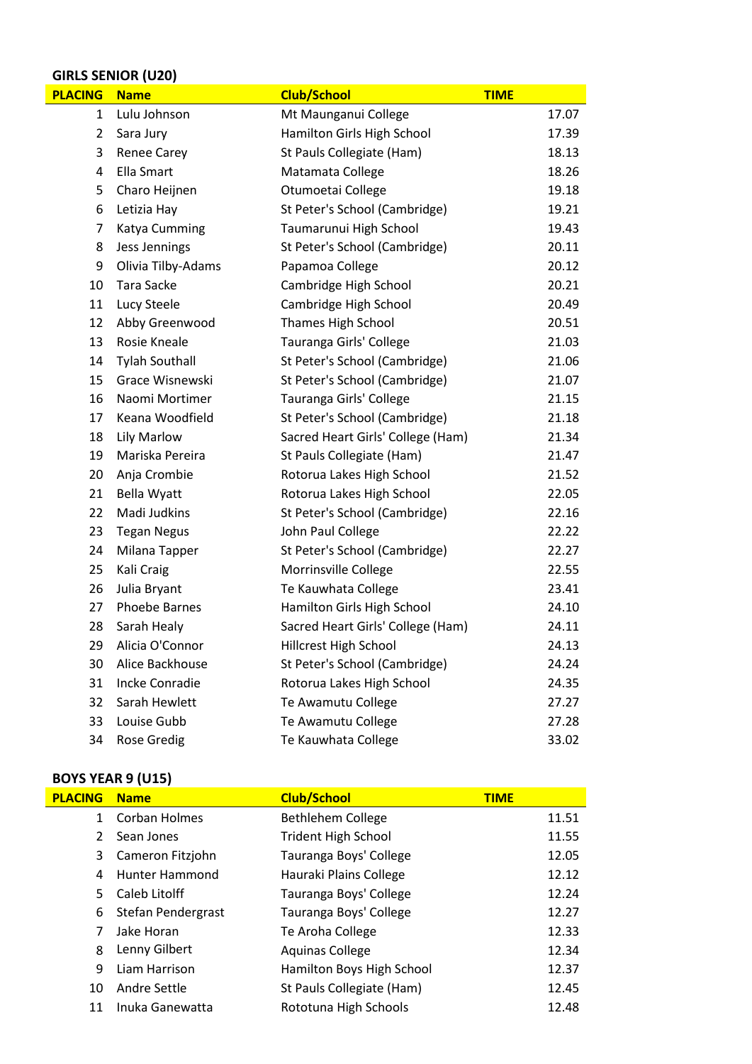### **GIRLS SENIOR (U20)**

| <b>PLACING</b> | <b>Name</b>           | <b>Club/School</b>                | <b>TIME</b> |
|----------------|-----------------------|-----------------------------------|-------------|
| 1              | Lulu Johnson          | Mt Maunganui College              | 17.07       |
| 2              | Sara Jury             | Hamilton Girls High School        | 17.39       |
| 3              | <b>Renee Carey</b>    | St Pauls Collegiate (Ham)         | 18.13       |
| 4              | Ella Smart            | Matamata College                  | 18.26       |
| 5              | Charo Heijnen         | Otumoetai College                 | 19.18       |
| 6              | Letizia Hay           | St Peter's School (Cambridge)     | 19.21       |
| $\overline{7}$ | Katya Cumming         | Taumarunui High School            | 19.43       |
| 8              | Jess Jennings         | St Peter's School (Cambridge)     | 20.11       |
| 9              | Olivia Tilby-Adams    | Papamoa College                   | 20.12       |
| 10             | Tara Sacke            | Cambridge High School             | 20.21       |
| 11             | Lucy Steele           | Cambridge High School             | 20.49       |
| 12             | Abby Greenwood        | <b>Thames High School</b>         | 20.51       |
| 13             | Rosie Kneale          | Tauranga Girls' College           | 21.03       |
| 14             | <b>Tylah Southall</b> | St Peter's School (Cambridge)     | 21.06       |
| 15             | Grace Wisnewski       | St Peter's School (Cambridge)     | 21.07       |
| 16             | Naomi Mortimer        | Tauranga Girls' College           | 21.15       |
| 17             | Keana Woodfield       | St Peter's School (Cambridge)     | 21.18       |
| 18             | Lily Marlow           | Sacred Heart Girls' College (Ham) | 21.34       |
| 19             | Mariska Pereira       | St Pauls Collegiate (Ham)         | 21.47       |
| 20             | Anja Crombie          | Rotorua Lakes High School         | 21.52       |
| 21             | <b>Bella Wyatt</b>    | Rotorua Lakes High School         | 22.05       |
| 22             | Madi Judkins          | St Peter's School (Cambridge)     | 22.16       |
| 23             | <b>Tegan Negus</b>    | John Paul College                 | 22.22       |
| 24             | Milana Tapper         | St Peter's School (Cambridge)     | 22.27       |
| 25             | Kali Craig            | Morrinsville College              | 22.55       |
| 26             | Julia Bryant          | Te Kauwhata College               | 23.41       |
| 27             | <b>Phoebe Barnes</b>  | Hamilton Girls High School        | 24.10       |
| 28             | Sarah Healy           | Sacred Heart Girls' College (Ham) | 24.11       |
| 29             | Alicia O'Connor       | Hillcrest High School             | 24.13       |
| 30             | Alice Backhouse       | St Peter's School (Cambridge)     | 24.24       |
| 31             | <b>Incke Conradie</b> | Rotorua Lakes High School         | 24.35       |
| 32             | Sarah Hewlett         | Te Awamutu College                | 27.27       |
| 33             | Louise Gubb           | Te Awamutu College                | 27.28       |
| 34             | <b>Rose Gredig</b>    | Te Kauwhata College               | 33.02       |

| <b>BOYS YEAR 9 (U15)</b> |                    |                            |             |  |
|--------------------------|--------------------|----------------------------|-------------|--|
| <b>PLACING</b>           | <b>Name</b>        | <b>Club/School</b>         | <b>TIME</b> |  |
| $\mathbf{1}$             | Corban Holmes      | <b>Bethlehem College</b>   | 11.51       |  |
| $\mathcal{P}$            | Sean Jones         | <b>Trident High School</b> | 11.55       |  |
| 3                        | Cameron Fitzjohn   | Tauranga Boys' College     | 12.05       |  |
| 4                        | Hunter Hammond     | Hauraki Plains College     | 12.12       |  |
| 5.                       | Caleb Litolff      | Tauranga Boys' College     | 12.24       |  |
| 6                        | Stefan Pendergrast | Tauranga Boys' College     | 12.27       |  |
| 7                        | Jake Horan         | Te Aroha College           | 12.33       |  |
| 8                        | Lenny Gilbert      | <b>Aquinas College</b>     | 12.34       |  |
| 9                        | Liam Harrison      | Hamilton Boys High School  | 12.37       |  |
| 10                       | Andre Settle       | St Pauls Collegiate (Ham)  | 12.45       |  |
| 11                       | Inuka Ganewatta    | Rototuna High Schools      | 12.48       |  |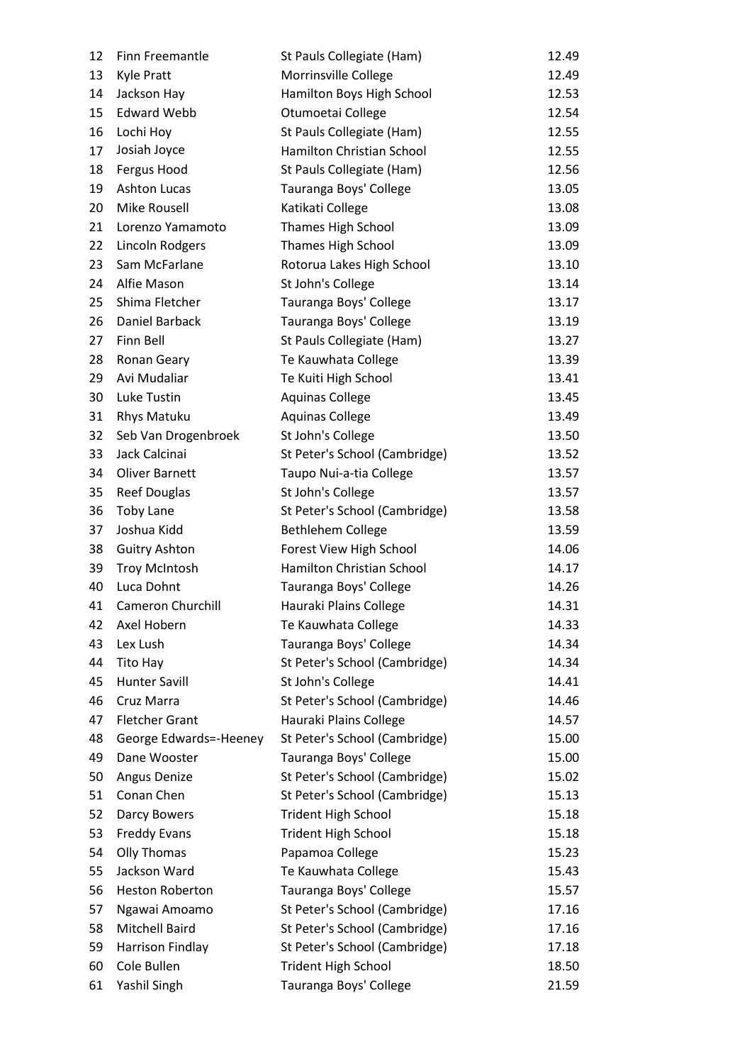| 12 | Finn Freemantle          | St Pauls Collegiate (Ham)     | 12.49 |
|----|--------------------------|-------------------------------|-------|
| 13 | <b>Kyle Pratt</b>        | Morrinsville College          | 12.49 |
| 14 | Jackson Hay              | Hamilton Boys High School     | 12.53 |
| 15 | <b>Edward Webb</b>       | Otumoetai College             | 12.54 |
| 16 | Lochi Hoy                | St Pauls Collegiate (Ham)     | 12.55 |
| 17 | Josiah Joyce             | Hamilton Christian School     | 12.55 |
| 18 | Fergus Hood              | St Pauls Collegiate (Ham)     | 12.56 |
| 19 | <b>Ashton Lucas</b>      | Tauranga Boys' College        | 13.05 |
| 20 | <b>Mike Rousell</b>      | Katikati College              | 13.08 |
| 21 | Lorenzo Yamamoto         | Thames High School            | 13.09 |
| 22 | Lincoln Rodgers          | <b>Thames High School</b>     | 13.09 |
| 23 | Sam McFarlane            | Rotorua Lakes High School     | 13.10 |
| 24 | Alfie Mason              | St John's College             | 13.14 |
| 25 | Shima Fletcher           | Tauranga Boys' College        | 13.17 |
| 26 | Daniel Barback           | Tauranga Boys' College        | 13.19 |
| 27 | Finn Bell                | St Pauls Collegiate (Ham)     | 13.27 |
| 28 | Ronan Geary              | Te Kauwhata College           | 13.39 |
| 29 | Avi Mudaliar             | Te Kuiti High School          | 13.41 |
| 30 | Luke Tustin              | <b>Aquinas College</b>        | 13.45 |
| 31 | Rhys Matuku              | <b>Aquinas College</b>        | 13.49 |
| 32 | Seb Van Drogenbroek      | St John's College             | 13.50 |
| 33 | Jack Calcinai            | St Peter's School (Cambridge) | 13.52 |
| 34 | <b>Oliver Barnett</b>    | Taupo Nui-a-tia College       | 13.57 |
| 35 | <b>Reef Douglas</b>      | St John's College             | 13.57 |
| 36 | <b>Toby Lane</b>         | St Peter's School (Cambridge) | 13.58 |
| 37 | Joshua Kidd              | <b>Bethlehem College</b>      | 13.59 |
| 38 | <b>Guitry Ashton</b>     | Forest View High School       | 14.06 |
| 39 | <b>Troy McIntosh</b>     | Hamilton Christian School     | 14.17 |
| 40 | Luca Dohnt               | Tauranga Boys' College        | 14.26 |
| 41 | <b>Cameron Churchill</b> | Hauraki Plains College        | 14.31 |
| 42 | Axel Hobern              | Te Kauwhata College           | 14.33 |
| 43 | Lex Lush                 | Tauranga Boys' College        | 14.34 |
| 44 | Tito Hay                 | St Peter's School (Cambridge) | 14.34 |
| 45 | <b>Hunter Savill</b>     | St John's College             | 14.41 |
| 46 | Cruz Marra               | St Peter's School (Cambridge) | 14.46 |
| 47 | <b>Fletcher Grant</b>    | Hauraki Plains College        | 14.57 |
| 48 | George Edwards=-Heeney   | St Peter's School (Cambridge) | 15.00 |
| 49 | Dane Wooster             | Tauranga Boys' College        | 15.00 |
| 50 | Angus Denize             | St Peter's School (Cambridge) | 15.02 |
| 51 | Conan Chen               | St Peter's School (Cambridge) | 15.13 |
| 52 | Darcy Bowers             | <b>Trident High School</b>    | 15.18 |
| 53 | <b>Freddy Evans</b>      | <b>Trident High School</b>    | 15.18 |
| 54 | Olly Thomas              | Papamoa College               | 15.23 |
| 55 | Jackson Ward             | Te Kauwhata College           | 15.43 |
| 56 | Heston Roberton          | Tauranga Boys' College        | 15.57 |
| 57 | Ngawai Amoamo            | St Peter's School (Cambridge) | 17.16 |
| 58 | Mitchell Baird           | St Peter's School (Cambridge) | 17.16 |
| 59 | Harrison Findlay         | St Peter's School (Cambridge) | 17.18 |
| 60 | Cole Bullen              | <b>Trident High School</b>    | 18.50 |
| 61 | Yashil Singh             | Tauranga Boys' College        | 21.59 |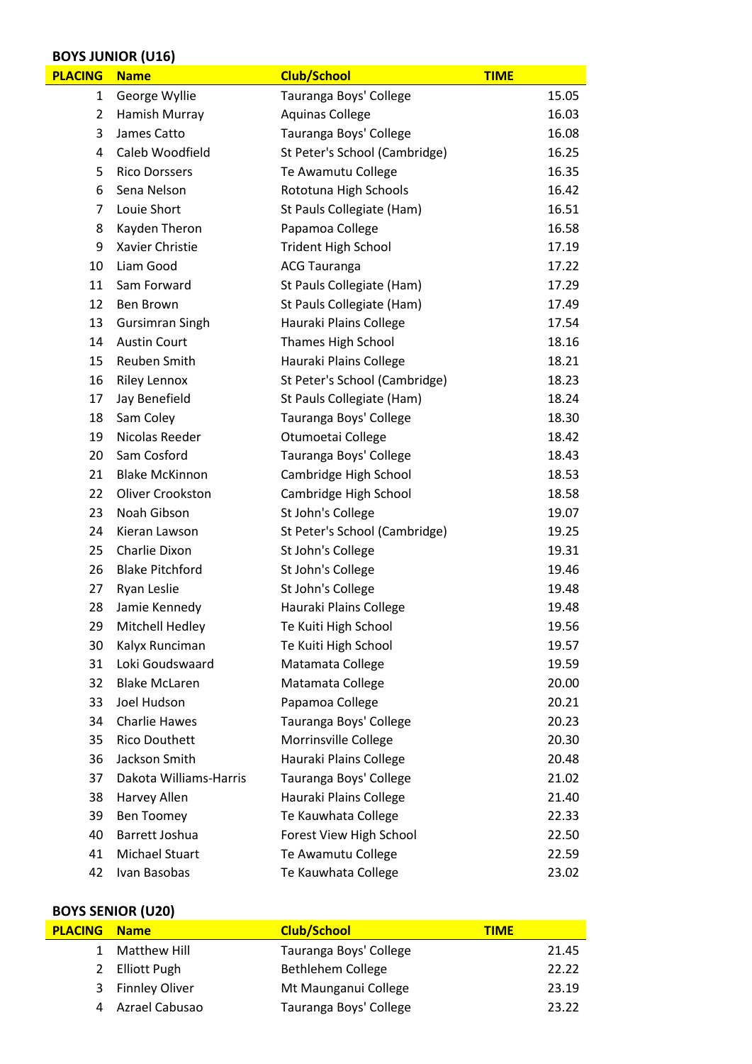### **BOYS JUNIOR (U16)**

| <b>PLACING</b> | <b>Name</b>            | <b>Club/School</b>            | <b>TIME</b> |
|----------------|------------------------|-------------------------------|-------------|
| 1              | George Wyllie          | Tauranga Boys' College        | 15.05       |
| 2              | Hamish Murray          | <b>Aquinas College</b>        | 16.03       |
| 3              | James Catto            | Tauranga Boys' College        | 16.08       |
| 4              | Caleb Woodfield        | St Peter's School (Cambridge) | 16.25       |
| 5              | <b>Rico Dorssers</b>   | Te Awamutu College            | 16.35       |
| 6              | Sena Nelson            | Rototuna High Schools         | 16.42       |
| 7              | Louie Short            | St Pauls Collegiate (Ham)     | 16.51       |
| 8              | Kayden Theron          | Papamoa College               | 16.58       |
| 9              | Xavier Christie        | <b>Trident High School</b>    | 17.19       |
| 10             | Liam Good              | <b>ACG Tauranga</b>           | 17.22       |
| 11             | Sam Forward            | St Pauls Collegiate (Ham)     | 17.29       |
| 12             | Ben Brown              | St Pauls Collegiate (Ham)     | 17.49       |
| 13             | <b>Gursimran Singh</b> | Hauraki Plains College        | 17.54       |
| 14             | <b>Austin Court</b>    | Thames High School            | 18.16       |
| 15             | Reuben Smith           | Hauraki Plains College        | 18.21       |
| 16             | <b>Riley Lennox</b>    | St Peter's School (Cambridge) | 18.23       |
| 17             | Jay Benefield          | St Pauls Collegiate (Ham)     | 18.24       |
| 18             | Sam Coley              | Tauranga Boys' College        | 18.30       |
| 19             | Nicolas Reeder         | Otumoetai College             | 18.42       |
| 20             | Sam Cosford            | Tauranga Boys' College        | 18.43       |
| 21             | <b>Blake McKinnon</b>  | Cambridge High School         | 18.53       |
| 22             | Oliver Crookston       | Cambridge High School         | 18.58       |
| 23             | Noah Gibson            | St John's College             | 19.07       |
| 24             | Kieran Lawson          | St Peter's School (Cambridge) | 19.25       |
| 25             | Charlie Dixon          | St John's College             | 19.31       |
| 26             | <b>Blake Pitchford</b> | St John's College             | 19.46       |
| 27             | Ryan Leslie            | St John's College             | 19.48       |
| 28             | Jamie Kennedy          | Hauraki Plains College        | 19.48       |
| 29             | Mitchell Hedley        | Te Kuiti High School          | 19.56       |
| 30             | Kalyx Runciman         | Te Kuiti High School          | 19.57       |
| 31             | Loki Goudswaard        | Matamata College              | 19.59       |
| 32             | <b>Blake McLaren</b>   | Matamata College              | 20.00       |
| 33             | Joel Hudson            | Papamoa College               | 20.21       |
| 34             | <b>Charlie Hawes</b>   | Tauranga Boys' College        | 20.23       |
| 35             | <b>Rico Douthett</b>   | Morrinsville College          | 20.30       |
| 36             | Jackson Smith          | Hauraki Plains College        | 20.48       |
| 37             | Dakota Williams-Harris | Tauranga Boys' College        | 21.02       |
| 38             | Harvey Allen           | Hauraki Plains College        | 21.40       |
| 39             | <b>Ben Toomey</b>      | Te Kauwhata College           | 22.33       |
| 40             | Barrett Joshua         | Forest View High School       | 22.50       |
| 41             | Michael Stuart         | Te Awamutu College            | 22.59       |
| 42             | Ivan Basobas           | Te Kauwhata College           | 23.02       |

### **BOYS SENIOR (U20)**

| <b>PLACING Name</b> |                  | <b>Club/School</b>     | <b>TIME</b> |
|---------------------|------------------|------------------------|-------------|
|                     | Matthew Hill     | Tauranga Boys' College | 21.45       |
|                     | 2 Elliott Pugh   | Bethlehem College      | 22.22       |
|                     | 3 Finnley Oliver | Mt Maunganui College   | 23.19       |
|                     | Azrael Cabusao   | Tauranga Boys' College | 23.22       |